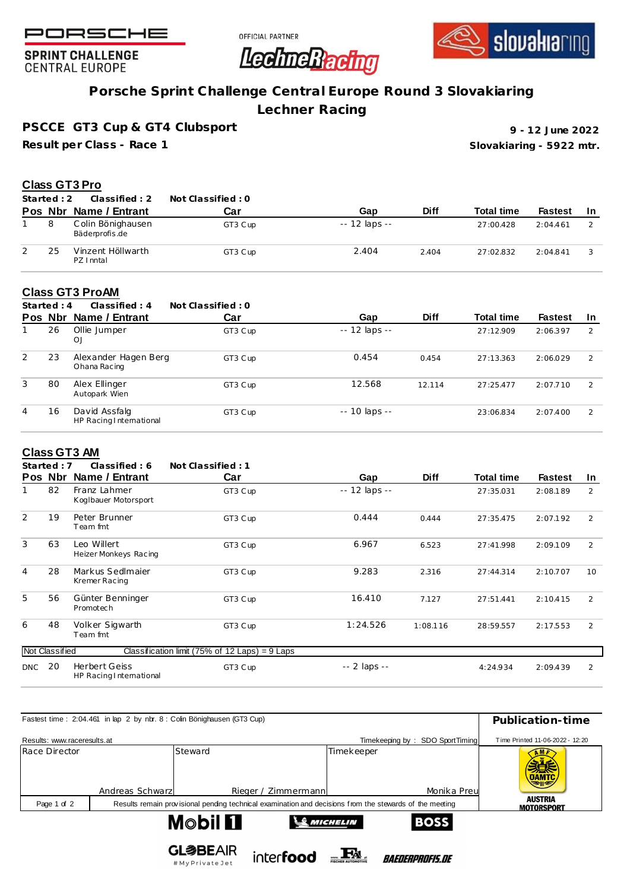





**SPRINT CHALLENGE CENTRAL EUROPE** 

## **Porsche Sprint Challenge Central Europe Round 3 Slovakiaring**

**Lechner Racing**

**PSCCE GT3 Cup & GT4 Clubsport**

**Result per Class - Race 1**

**Slovakiaring - 5922 mtr. 9 - 12 June 2022**

#### **Class GT3 Pro**

| Started: 2 | Classified: 2                       | Not Classified : 0 |                |             |                   |                |     |
|------------|-------------------------------------|--------------------|----------------|-------------|-------------------|----------------|-----|
| Pos Nbr    | Name / Entrant                      | Car                | Gap            | <b>Diff</b> | <b>Total time</b> | <b>Fastest</b> | -In |
|            | Colin Bönighausen<br>Bäderprofis.de | GT3 Cup            | $-12$ laps $-$ |             | 27:00.428         | 2:04.461       |     |
| 25         | Vinzent Höllwarth<br>PZ I nntal     | GT3 Cup            | 2.404          | 2.404       | 27:02.832         | 2:04.841       |     |

#### **Class GT3 ProAM**

|   | Started: $4$ | Classified: 4                            | Not Classified: 0 |                |             |                   |                |               |
|---|--------------|------------------------------------------|-------------------|----------------|-------------|-------------------|----------------|---------------|
|   | Pos Nbr      | Name / Entrant                           | Car               | Gap            | <b>Diff</b> | <b>Total time</b> | <b>Fastest</b> | <b>In</b>     |
|   | 26           | Ollie Jumper<br>OJ                       | GT3 Cup           | $-12$ laps $-$ |             | 27:12.909         | 2:06.397       | $\mathcal{P}$ |
| 2 | 23           | Alexander Hagen Berg<br>Ohana Racing     | GT3 Cup           | 0.454          | 0.454       | 27:13.363         | 2:06.029       | $\mathcal{L}$ |
| 3 | 80           | Alex Ellinger<br>Autopark Wien           | GT3 Cup           | 12.568         | 12.114      | 27:25.477         | 2:07.710       | $\mathcal{L}$ |
| 4 | 16           | David Assfalg<br>HP Racing International | GT3 Cup           | $-10$ laps $-$ |             | 23:06.834         | 2:07.400       | $\mathcal{L}$ |

#### **Class GT3 AM**

|                | Started: 7     | Classified: 6                                   | Not Classified: 1                                |               |             |                   |                |           |
|----------------|----------------|-------------------------------------------------|--------------------------------------------------|---------------|-------------|-------------------|----------------|-----------|
|                | Pos Nbr        | Name / Entrant                                  | Car                                              | Gap           | <b>Diff</b> | <b>Total time</b> | <b>Fastest</b> | <u>In</u> |
|                | 82             | Franz Lahmer<br>Koglbauer Motorsport            | GT3 Cup                                          | -- 12 laps -- |             | 27:35.031         | 2:08.189       | 2         |
| $\overline{2}$ | 19             | Peter Brunner<br>Team fmt                       | GT3 Cup                                          | 0.444         | 0.444       | 27:35.475         | 2:07.192       | 2         |
| 3              | 63             | Leo Willert<br>Heizer Monkeys Racing            | GT3 Cup                                          | 6.967         | 6.523       | 27:41.998         | 2:09.109       | 2         |
| $\overline{4}$ | 28             | Markus Sedlmaier<br>Kremer Racing               | GT3 Cup                                          | 9.283         | 2.316       | 27:44.314         | 2:10.707       | 10        |
| 5              | 56             | Günter Benninger<br>Promotec h                  | GT3 Cup                                          | 16.410        | 7.127       | 27:51.441         | 2:10.415       | 2         |
| 6              | 48             | Volker Sigwarth<br>Team fmt                     | GT3 Cup                                          | 1:24.526      | 1:08.116    | 28:59.557         | 2:17.553       | 2         |
|                | Not Classified |                                                 | Classification limit (75% of 12 Laps) = $9$ Laps |               |             |                   |                |           |
| DNC            | 20             | <b>Herbert Geiss</b><br>HP Racing International | GT3 Cup                                          | -- 2 laps --  |             | 4:24.934          | 2:09.439       | 2         |

| Fastest time: 2:04.461 in lap 2 by nbr. 8 : Colin Bönighausen (GT3 Cup) | Publication-time |                                                                                                         |                                 |                                     |
|-------------------------------------------------------------------------|------------------|---------------------------------------------------------------------------------------------------------|---------------------------------|-------------------------------------|
| Results: www.raceresults.at                                             |                  |                                                                                                         | Timekeeping by: SDO SportTiming | Time Printed 11-06-2022 - 12:20     |
| Race Director                                                           | Andreas Schwarzl | Steward<br>Rieger / Zimmermann                                                                          | Timekeeper<br>Monika Preu       | <b>UAMTC</b>                        |
| Page 1 of 2                                                             |                  | Results remain provisional pending technical examination and decisions from the stewards of the meeting |                                 | <b>AUSTRIA</b><br><b>MOTORSPORT</b> |
|                                                                         |                  | <b>Mobil Fl</b>                                                                                         | <b>BOSS</b><br><b>SANCHELIN</b> |                                     |